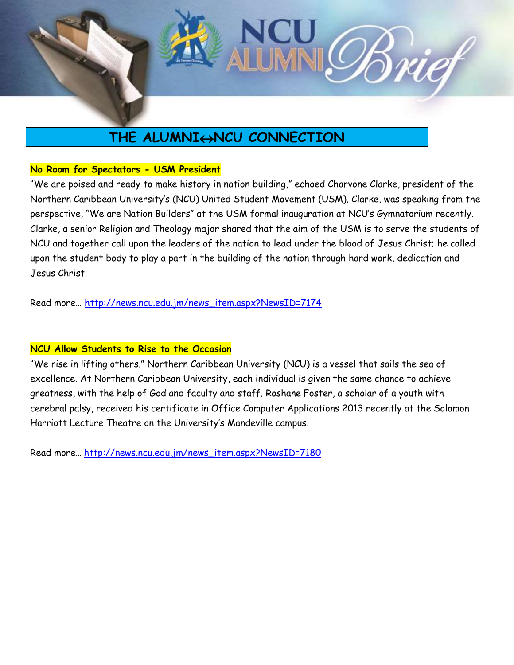

# **THE ALUMNI** $\leftrightarrow$ NCU CONNECTION

## **No Room for Spectators - USM President**

"We are poised and ready to make history in nation building," echoed Charvone Clarke, president of the Northern Caribbean University's (NCU) United Student Movement (USM). Clarke, was speaking from the perspective, "We are Nation Builders" at the USM formal inauguration at NCU's Gymnatorium recently. Clarke, a senior Religion and Theology major shared that the aim of the USM is to serve the students of NCU and together call upon the leaders of the nation to lead under the blood of Jesus Christ; he called upon the student body to play a part in the building of the nation through hard work, dedication and Jesus Christ.

Read more… [http://news.ncu.edu.jm/news\\_item.aspx?NewsID=7174](http://news.ncu.edu.jm/news_item.aspx?NewsID=7174)

## **NCU Allow Students to Rise to the Occasion**

"We rise in lifting others." Northern Caribbean University (NCU) is a vessel that sails the sea of excellence. At Northern Caribbean University, each individual is given the same chance to achieve greatness, with the help of God and faculty and staff. Roshane Foster, a scholar of a youth with cerebral palsy, received his certificate in Office Computer Applications 2013 recently at the Solomon Harriott Lecture Theatre on the University's Mandeville campus.

Read more… [http://news.ncu.edu.jm/news\\_item.aspx?NewsID=7180](http://news.ncu.edu.jm/news_item.aspx?NewsID=7180)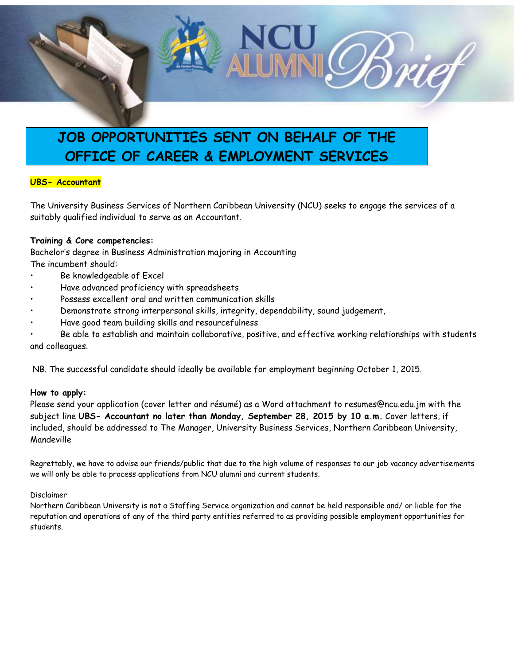

# **JOB OPPORTUNITIES SENT ON BEHALF OF THE OFFICE OF CAREER & EMPLOYMENT SERVICES**

#### **UBS- Accountant**

The University Business Services of Northern Caribbean University (NCU) seeks to engage the services of a suitably qualified individual to serve as an Accountant.

#### **Training & Core competencies:**

Bachelor's degree in Business Administration majoring in Accounting The incumbent should:

- Be knowledgeable of Excel
- Have advanced proficiency with spreadsheets
- Possess excellent oral and written communication skills
- Demonstrate strong interpersonal skills, integrity, dependability, sound judgement,
- Have good team building skills and resourcefulness
- Be able to establish and maintain collaborative, positive, and effective working relationships with students and colleagues.

NB. The successful candidate should ideally be available for employment beginning October 1, 2015.

#### **How to apply:**

Please send your application (cover letter and résumé) as a Word attachment to resumes@ncu.edu.jm with the subject line **UBS- Accountant no later than Monday, September 28, 2015 by 10 a.m.** Cover letters, if included, should be addressed to The Manager, University Business Services, Northern Caribbean University, Mandeville

Regrettably, we have to advise our friends/public that due to the high volume of responses to our job vacancy advertisements we will only be able to process applications from NCU alumni and current students.

#### Disclaimer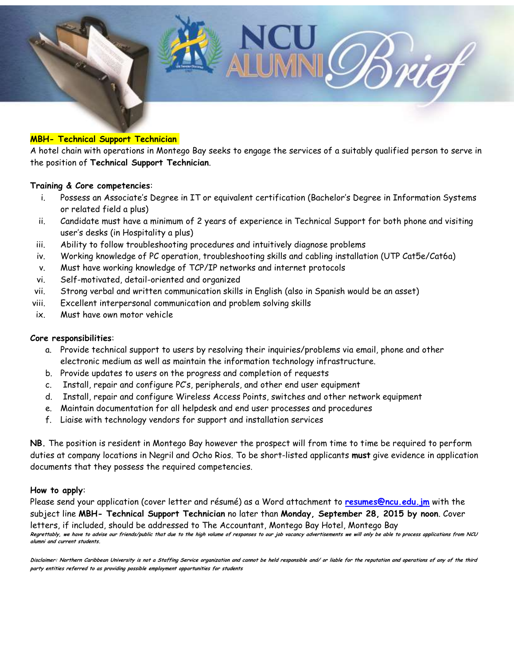

#### **MBH- Technical Support Technician**

A hotel chain with operations in Montego Bay seeks to engage the services of a suitably qualified person to serve in the position of **Technical Support Technician**.

#### **Training & Core competencies**:

- i. Possess an Associate's Degree in IT or equivalent certification (Bachelor's Degree in Information Systems or related field a plus)
- ii. Candidate must have a minimum of 2 years of experience in Technical Support for both phone and visiting user's desks (in Hospitality a plus)
- iii. Ability to follow troubleshooting procedures and intuitively diagnose problems
- iv. Working knowledge of PC operation, troubleshooting skills and cabling installation (UTP Cat5e/Cat6a)
- v. Must have working knowledge of TCP/IP networks and internet protocols
- vi. Self-motivated, detail-oriented and organized
- vii. Strong verbal and written communication skills in English (also in Spanish would be an asset)
- viii. Excellent interpersonal communication and problem solving skills
- ix. Must have own motor vehicle

#### **Core responsibilities**:

- a. Provide technical support to users by resolving their inquiries/problems via email, phone and other electronic medium as well as maintain the information technology infrastructure.
- b. Provide updates to users on the progress and completion of requests
- c. Install, repair and configure PC's, peripherals, and other end user equipment
- d. Install, repair and configure Wireless Access Points, switches and other network equipment
- e. Maintain documentation for all helpdesk and end user processes and procedures
- f. Liaise with technology vendors for support and installation services

**NB.** The position is resident in Montego Bay however the prospect will from time to time be required to perform duties at company locations in Negril and Ocho Rios. To be short-listed applicants **must** give evidence in application documents that they possess the required competencies.

#### **How to apply**:

Please send your application (cover letter and résumé) as a Word attachment to **[resumes@ncu.edu.jm](mailto:resumes@ncu.edu.jm)** with the subject line **MBH- Technical Support Technician** no later than **Monday, September 28, 2015 by noon**. Cover letters, if included, should be addressed to The Accountant, Montego Bay Hotel, Montego Bay **Regrettably, we have to advise our friends/public that due to the high volume of responses to our job vacancy advertisements we will only be able to process applications from NCU alumni and current students.**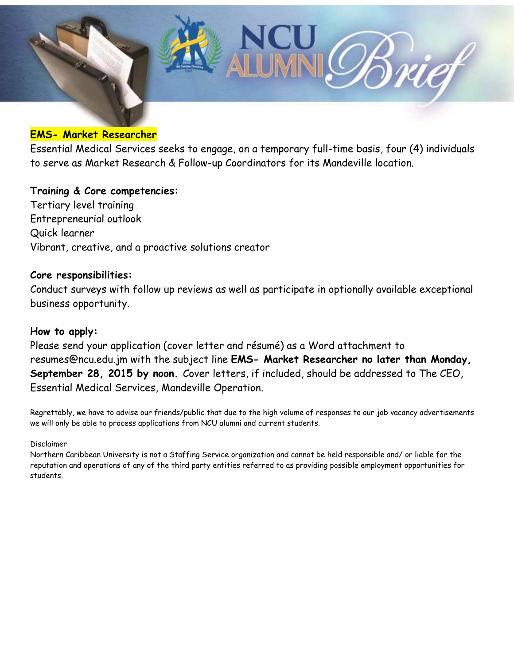

## **EMS- Market Researcher**

Essential Medical Services seeks to engage, on a temporary full-time basis, four (4) individuals to serve as Market Research & Follow-up Coordinators for its Mandeville location.

# **Training & Core competencies:**

Tertiary level training Entrepreneurial outlook Quick learner Vibrant, creative, and a proactive solutions creator

## **Core responsibilities:**

Conduct surveys with follow up reviews as well as participate in optionally available exceptional business opportunity.

## **How to apply:**

Please send your application (cover letter and résumé) as a Word attachment to resumes@ncu.edu.jm with the subject line **EMS- Market Researcher no later than Monday, September 28, 2015 by noon.** Cover letters, if included, should be addressed to The CEO, Essential Medical Services, Mandeville Operation.

Regrettably, we have to advise our friends/public that due to the high volume of responses to our job vacancy advertisements we will only be able to process applications from NCU alumni and current students.

Disclaimer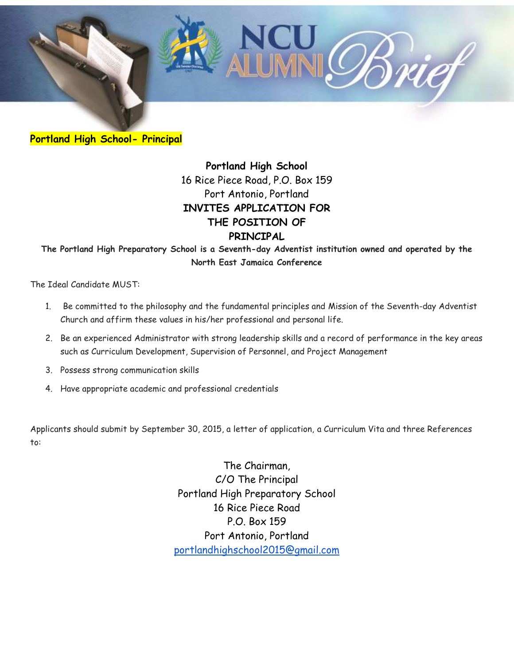

**Portland High School- Principal**

**Portland High School** 16 Rice Piece Road, P.O. Box 159 Port Antonio, Portland **INVITES APPLICATION FOR THE POSITION OF PRINCIPAL**

**The Portland High Preparatory School is a Seventh-day Adventist institution owned and operated by the North East Jamaica Conference**

The Ideal Candidate MUST:

- 1. Be committed to the philosophy and the fundamental principles and Mission of the Seventh-day Adventist Church and affirm these values in his/her professional and personal life.
- 2. Be an experienced Administrator with strong leadership skills and a record of performance in the key areas such as Curriculum Development, Supervision of Personnel, and Project Management
- 3. Possess strong communication skills
- 4. Have appropriate academic and professional credentials

Applicants should submit by September 30, 2015, a letter of application, a Curriculum Vita and three References to:

> The Chairman, C/O The Principal Portland High Preparatory School 16 Rice Piece Road P.O. Box 159 Port Antonio, Portland [portlandhighschool2015@gmail.com](mailto:portlandhighschool2015@gmail.com)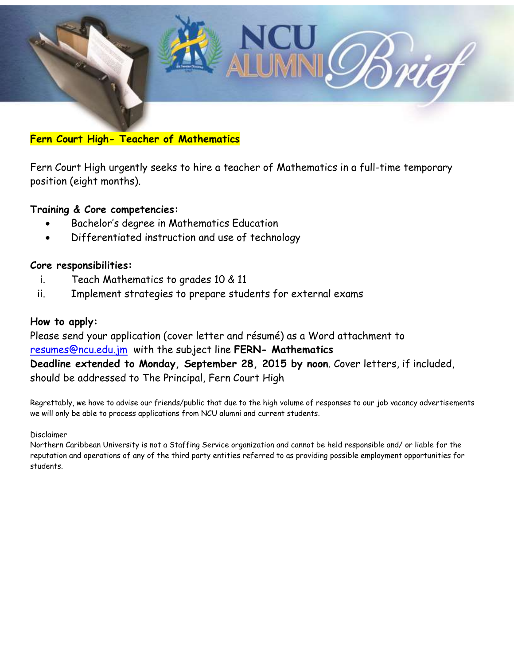

## **Fern Court High- Teacher of Mathematics**

Fern Court High urgently seeks to hire a teacher of Mathematics in a full-time temporary position (eight months).

## **Training & Core competencies:**

- Bachelor's degree in Mathematics Education
- Differentiated instruction and use of technology

## **Core responsibilities:**

- i. Teach Mathematics to grades 10 & 11
- ii. Implement strategies to prepare students for external exams

### **How to apply:**

Please send your application (cover letter and résumé) as a Word attachment to [resumes@ncu.edu.jm](mailto:resumes@ncu.edu.jm) with the subject line **FERN- Mathematics Deadline extended to Monday, September 28, 2015 by noon**. Cover letters, if included, should be addressed to The Principal, Fern Court High

Regrettably, we have to advise our friends/public that due to the high volume of responses to our job vacancy advertisements we will only be able to process applications from NCU alumni and current students.

#### Disclaimer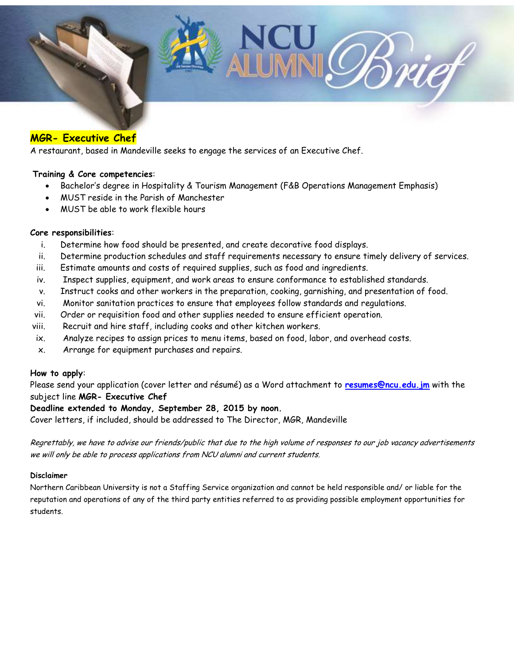

### **MGR- Executive Chef**

A restaurant, based in Mandeville seeks to engage the services of an Executive Chef.

#### **Training & Core competencies**:

- Bachelor's degree in Hospitality & Tourism Management (F&B Operations Management Emphasis)
- MUST reside in the Parish of Manchester
- MUST be able to work flexible hours

#### **Core responsibilities**:

- i. Determine how food should be presented, and create decorative food displays.
- ii. Determine production schedules and staff requirements necessary to ensure timely delivery of services.
- iii. Estimate amounts and costs of required supplies, such as food and ingredients.
- iv. Inspect supplies, equipment, and work areas to ensure conformance to established standards.
- v. Instruct cooks and other workers in the preparation, cooking, garnishing, and presentation of food.
- vi. Monitor sanitation practices to ensure that employees follow standards and regulations.
- vii. Order or requisition food and other supplies needed to ensure efficient operation.
- viii. Recruit and hire staff, including cooks and other kitchen workers.
- ix. Analyze recipes to assign prices to menu items, based on food, labor, and overhead costs.
- x. Arrange for equipment purchases and repairs.

#### **How to apply**:

Please send your application (cover letter and résumé) as a Word attachment to **[resumes@ncu.edu.jm](mailto:resumes@ncu.edu.jm)** with the subject line **MGR- Executive Chef** 

#### **Deadline extended to Monday, September 28, 2015 by noon.**

Cover letters, if included, should be addressed to The Director, MGR, Mandeville

Regrettably, we have to advise our friends/public that due to the high volume of responses to our job vacancy advertisements we will only be able to process applications from NCU alumni and current students.

#### **Disclaimer**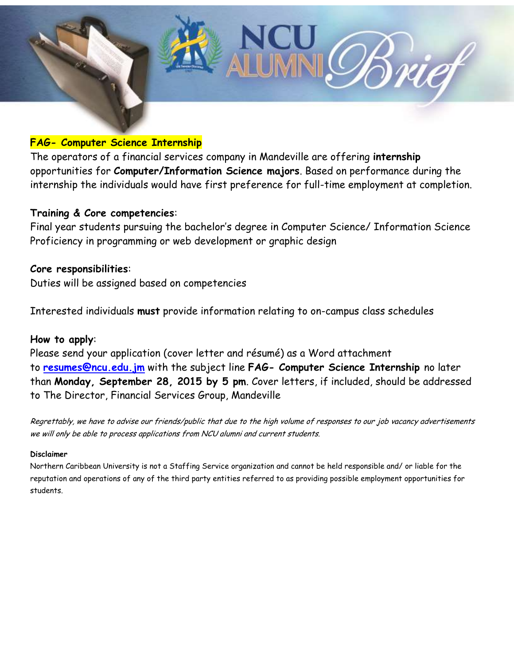

## **FAG- Computer Science Internship**

The operators of a financial services company in Mandeville are offering **internship**  opportunities for **Computer/Information Science majors**. Based on performance during the internship the individuals would have first preference for full-time employment at completion.

## **Training & Core competencies**:

Final year students pursuing the bachelor's degree in Computer Science/ Information Science Proficiency in programming or web development or graphic design

## **Core responsibilities**:

Duties will be assigned based on competencies

Interested individuals **must** provide information relating to on-campus class schedules

### **How to apply**:

Please send your application (cover letter and résumé) as a Word attachment to **[resumes@ncu.edu.jm](mailto:resumes@ncu.edu.jm)** with the subject line **FAG- Computer Science Internship** no later than **Monday, September 28, 2015 by 5 pm**. Cover letters, if included, should be addressed to The Director, Financial Services Group, Mandeville

Regrettably, we have to advise our friends/public that due to the high volume of responses to our job vacancy advertisements we will only be able to process applications from NCU alumni and current students.

#### **Disclaimer**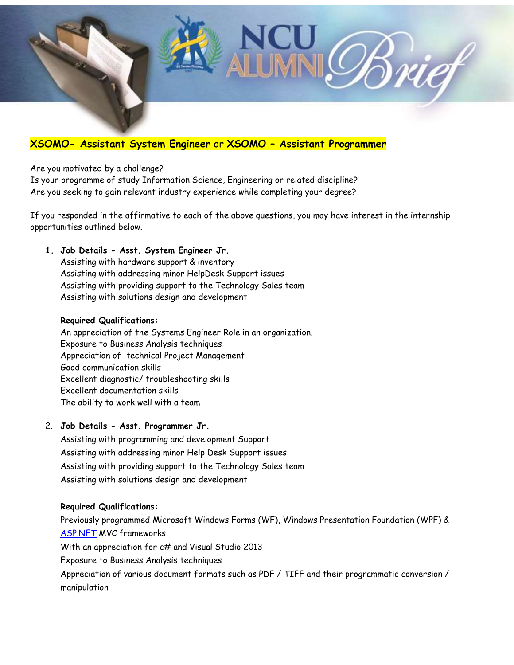

## **XSOMO- Assistant System Engineer** or **XSOMO – Assistant Programmer**

Are you motivated by a challenge?

Is your programme of study Information Science, Engineering or related discipline? Are you seeking to gain relevant industry experience while completing your degree?

If you responded in the affirmative to each of the above questions, you may have interest in the internship opportunities outlined below.

#### **1. Job Details - Asst. System Engineer Jr.**

Assisting with hardware support & inventory Assisting with addressing minor HelpDesk Support issues Assisting with providing support to the Technology Sales team Assisting with solutions design and development

#### **Required Qualifications:**

An appreciation of the Systems Engineer Role in an organization. Exposure to Business Analysis techniques Appreciation of technical Project Management Good communication skills Excellent diagnostic/ troubleshooting skills Excellent documentation skills The ability to work well with a team

#### 2. **Job Details - Asst. Programmer Jr.**

Assisting with programming and development Support Assisting with addressing minor Help Desk Support issues Assisting with providing support to the Technology Sales team Assisting with solutions design and development

#### **Required Qualifications:**

Previously programmed Microsoft Windows Forms (WF), Windows Presentation Foundation (WPF) & [ASP.NET](http://asp.net/) MVC frameworks With an appreciation for c# and Visual Studio 2013 Exposure to Business Analysis techniques Appreciation of various document formats such as PDF / TIFF and their programmatic conversion / manipulation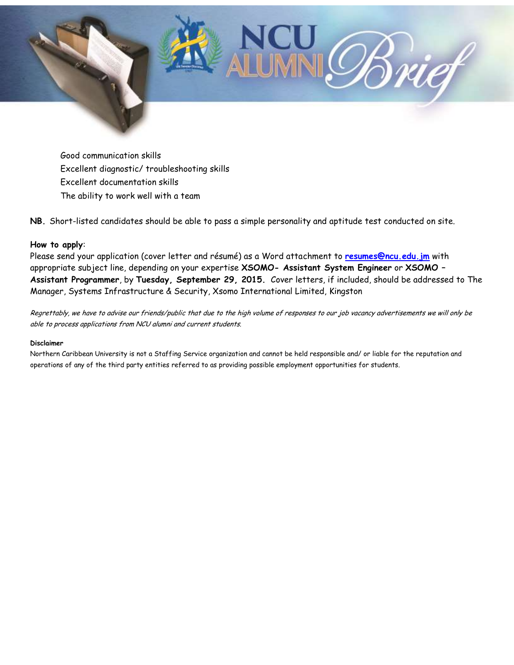

Good communication skills Excellent diagnostic/ troubleshooting skills Excellent documentation skills The ability to work well with a team

**NB.** Short-listed candidates should be able to pass a simple personality and aptitude test conducted on site.

#### **How to apply**:

Please send your application (cover letter and résumé) as a Word attachment to **[resumes@ncu.edu.jm](mailto:resumes@ncu.edu.jm)** with appropriate subject line, depending on your expertise **XSOMO- Assistant System Engineer** or **XSOMO – Assistant Programmer**, by **Tuesday, September 29, 2015.** Cover letters, if included, should be addressed to The Manager, Systems Infrastructure & Security, Xsomo International Limited, Kingston

Regrettably, we have to advise our friends/public that due to the high volume of responses to our job vacancy advertisements we will only be able to process applications from NCU alumni and current students.

#### **Disclaimer**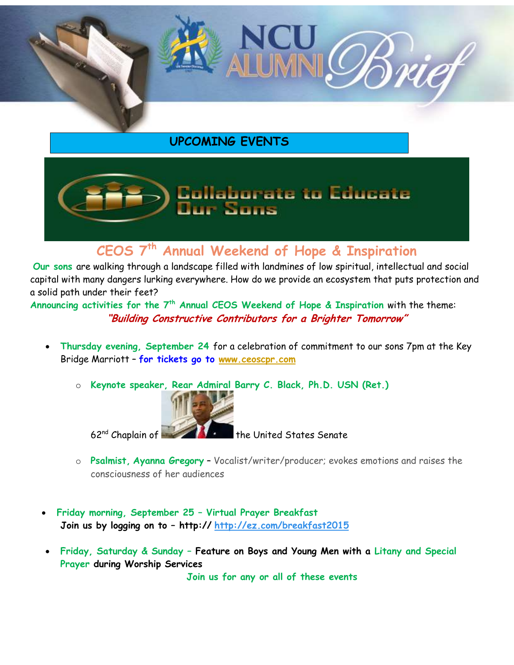

## **UPCOMING EVENTS**

# **Collaborate to Educate** ur Soos

## **CEOS 7th Annual Weekend of Hope & Inspiration**

**Our sons** are walking through a landscape filled with landmines of low spiritual, intellectual and social capital with many dangers lurking everywhere. How do we provide an ecosystem that puts protection and a solid path under their feet?

**Announcing activities for the 7th Annual CEOS Weekend of Hope & Inspiration** with the theme: **"Building Constructive Contributors for a Brighter Tomorrow"**

- **Thursday evening, September 24** for a celebration of commitment to our sons 7pm at the Key Bridge Marriott – **for tickets go to [www.ceoscpr.com](http://www.ceoscpr.com/)**
	- o **Keynote speaker, Rear Admiral Barry C. Black, Ph.D. USN (Ret.)**



 $62<sup>nd</sup>$  Chaplain of  $\blacksquare$  the United States Senate

- o **Psalmist, Ayanna Gregory** Vocalist/writer/producer; evokes emotions and raises the consciousness of her audiences
- **Friday morning, September 25 – Virtual Prayer Breakfast Join us by logging on to – http:// <http://ez.com/breakfast2015>**
- **Friday, Saturday & Sunday – Feature on Boys and Young Men with a Litany and Special Prayer during Worship Services**

**Join us for any or all of these events**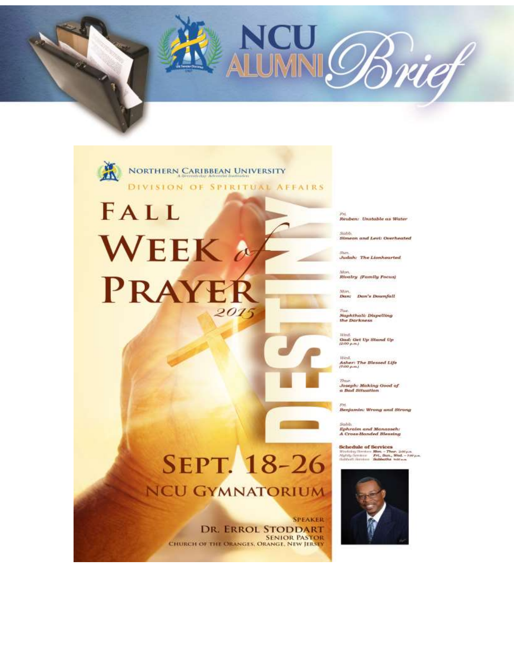

# FALL **WEEK PRAYER** 2015

Reuben: Unstable as Water

NCU Brief

Simeon and Levi: Overheated

Sun.<br><mark>Judah: The Lionhearted</mark>

Mon.<br><mark>Rivalry (Family Focus)</mark>

Mon.<br>Dan: Dan's Downfall

Tue.<br>Naphthall: Dispelling<br>the Darkness

West.<br>Gad: Get Up Stand Up

Asher: The Blessed Life<br>7:00 p.m.)

Joseph: Making Good of<br>a Bad Situation

Benjamin: Wrong and Strong

Sabb, Ephraim and Manasseh:<br>A Cross-Handed Blessing

**Schedule of Services**<br>Wedsig Sarten **Mos** - Thus 200 pm<br>Myldy Sarten **Pri, Sun, Wed** - 200 pm<br>Subjecti Service **Schlachs wite-**



# **SEPT. 18-26 NCU GYMNATORIUM**

**SPEAKER** DR. ERROL STODDART **SENIOR PASTOR**<br>CHURCH OF THE ORANGES, ORANGE, NEW JERSEY